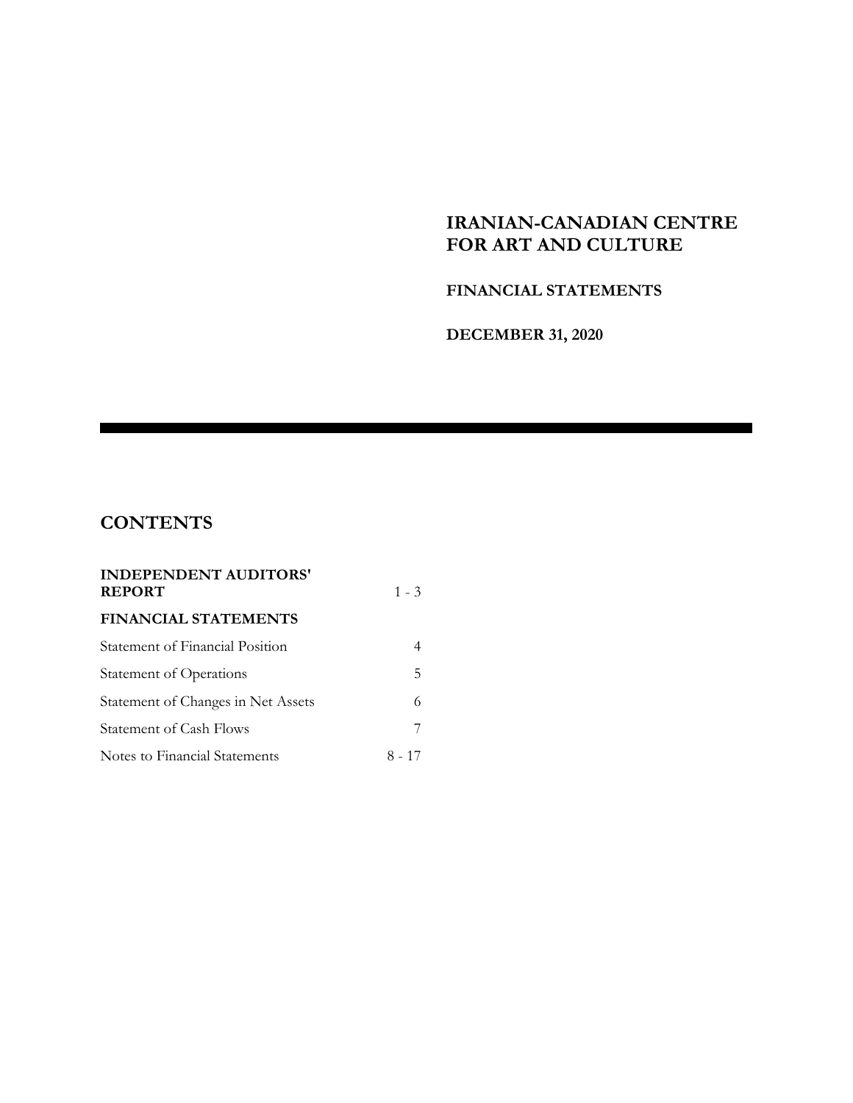# **FINANCIAL STATEMENTS**

**DECEMBER 31, 2020**

# **CONTENTS**

| <b>INDEPENDENT AUDITORS'</b><br><b>REPORT</b> | $1 - 3$  |
|-----------------------------------------------|----------|
| <b>FINANCIAL STATEMENTS</b>                   |          |
| <b>Statement of Financial Position</b>        | 4        |
| <b>Statement of Operations</b>                | 5        |
| Statement of Changes in Net Assets            | 6        |
| <b>Statement of Cash Flows</b>                | 7        |
| Notes to Financial Statements                 | $8 - 17$ |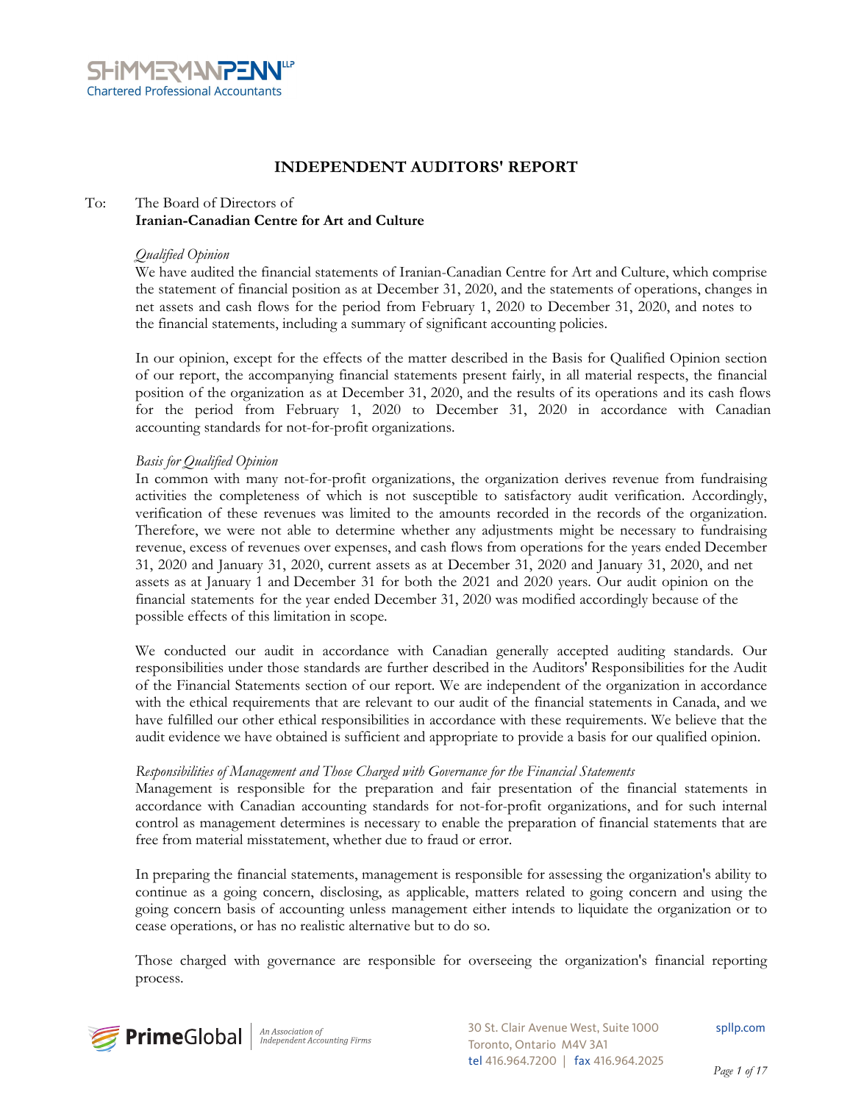

### **INDEPENDENT AUDITORS' REPORT**

### To: The Board of Directors of **Iranian-Canadian Centre for Art and Culture**

#### *Qualified Opinion*

We have audited the financial statements of Iranian-Canadian Centre for Art and Culture, which comprise the statement of financial position as at December 31, 2020, and the statements of operations, changes in net assets and cash flows for the period from February 1, 2020 to December 31, 2020, and notes to the financial statements, including a summary of significant accounting policies.

In our opinion, except for the effects of the matter described in the Basis for Qualified Opinion section of our report, the accompanying financial statements present fairly, in all material respects, the financial position of the organization as at December 31, 2020, and the results of its operations and its cash flows for the period from February 1, 2020 to December 31, 2020 in accordance with Canadian accounting standards for not-for-profit organizations.

#### *Basis for Qualified Opinion*

In common with many not-for-profit organizations, the organization derives revenue from fundraising activities the completeness of which is not susceptible to satisfactory audit verification. Accordingly, verification of these revenues was limited to the amounts recorded in the records of the organization. Therefore, we were not able to determine whether any adjustments might be necessary to fundraising revenue, excess of revenues over expenses, and cash flows from operations for the years ended December 31, 2020 and January 31, 2020, current assets as at December 31, 2020 and January 31, 2020, and net assets as at January 1 and December 31 for both the 2021 and 2020 years. Our audit opinion on the financial statements for the year ended December 31, 2020 was modified accordingly because of the possible effects of this limitation in scope.

We conducted our audit in accordance with Canadian generally accepted auditing standards. Our responsibilities under those standards are further described in the Auditors' Responsibilities for the Audit of the Financial Statements section of our report. We are independent of the organization in accordance with the ethical requirements that are relevant to our audit of the financial statements in Canada, and we have fulfilled our other ethical responsibilities in accordance with these requirements. We believe that the audit evidence we have obtained is sufficient and appropriate to provide a basis for our qualified opinion.

#### *Responsibilities of Management and Those Charged with Governance for the Financial Statements*

Management is responsible for the preparation and fair presentation of the financial statements in accordance with Canadian accounting standards for not-for-profit organizations, and for such internal control as management determines is necessary to enable the preparation of financial statements that are free from material misstatement, whether due to fraud or error.

In preparing the financial statements, management is responsible for assessing the organization's ability to continue as a going concern, disclosing, as applicable, matters related to going concern and using the going concern basis of accounting unless management either intends to liquidate the organization or to cease operations, or has no realistic alternative but to do so.

Those charged with governance are responsible for overseeing the organization's financial reporting process.



30 St. Clair Avenue West, Suite 1000 Toronto, Ontario M4V 3A1 tel 416.964.7200 | fax 416.964.2025 spllp.com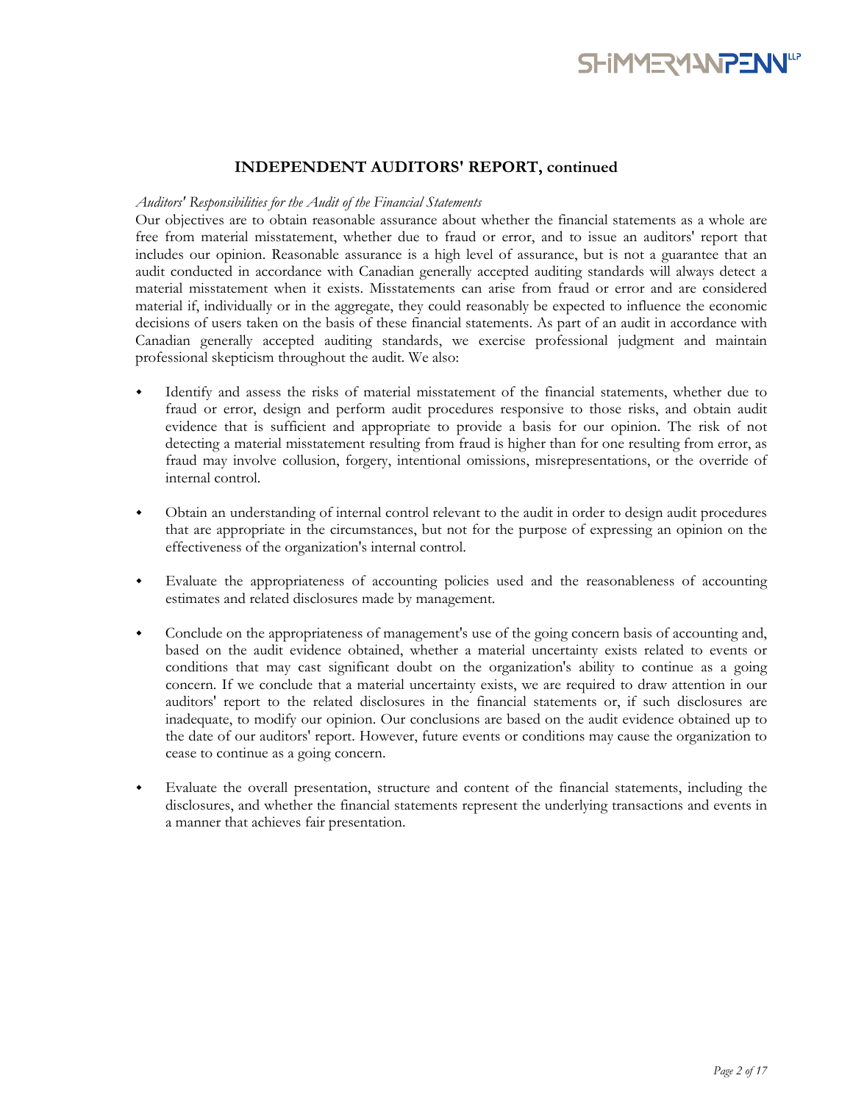# **SHIMMERMANPENNIIP**

#### **INDEPENDENT AUDITORS' REPORT, continued**

#### *Auditors' Responsibilities for the Audit of the Financial Statements*

Our objectives are to obtain reasonable assurance about whether the financial statements as a whole are free from material misstatement, whether due to fraud or error, and to issue an auditors' report that includes our opinion. Reasonable assurance is a high level of assurance, but is not a guarantee that an audit conducted in accordance with Canadian generally accepted auditing standards will always detect a material misstatement when it exists. Misstatements can arise from fraud or error and are considered material if, individually or in the aggregate, they could reasonably be expected to influence the economic decisions of users taken on the basis of these financial statements. As part of an audit in accordance with Canadian generally accepted auditing standards, we exercise professional judgment and maintain professional skepticism throughout the audit. We also:

- Identify and assess the risks of material misstatement of the financial statements, whether due to fraud or error, design and perform audit procedures responsive to those risks, and obtain audit evidence that is sufficient and appropriate to provide a basis for our opinion. The risk of not detecting a material misstatement resulting from fraud is higher than for one resulting from error, as fraud may involve collusion, forgery, intentional omissions, misrepresentations, or the override of internal control.
- Obtain an understanding of internal control relevant to the audit in order to design audit procedures that are appropriate in the circumstances, but not for the purpose of expressing an opinion on the effectiveness of the organization's internal control.
- Evaluate the appropriateness of accounting policies used and the reasonableness of accounting estimates and related disclosures made by management.
- Conclude on the appropriateness of management's use of the going concern basis of accounting and, based on the audit evidence obtained, whether a material uncertainty exists related to events or conditions that may cast significant doubt on the organization's ability to continue as a going concern. If we conclude that a material uncertainty exists, we are required to draw attention in our auditors' report to the related disclosures in the financial statements or, if such disclosures are inadequate, to modify our opinion. Our conclusions are based on the audit evidence obtained up to the date of our auditors' report. However, future events or conditions may cause the organization to cease to continue as a going concern.
- Evaluate the overall presentation, structure and content of the financial statements, including the disclosures, and whether the financial statements represent the underlying transactions and events in a manner that achieves fair presentation.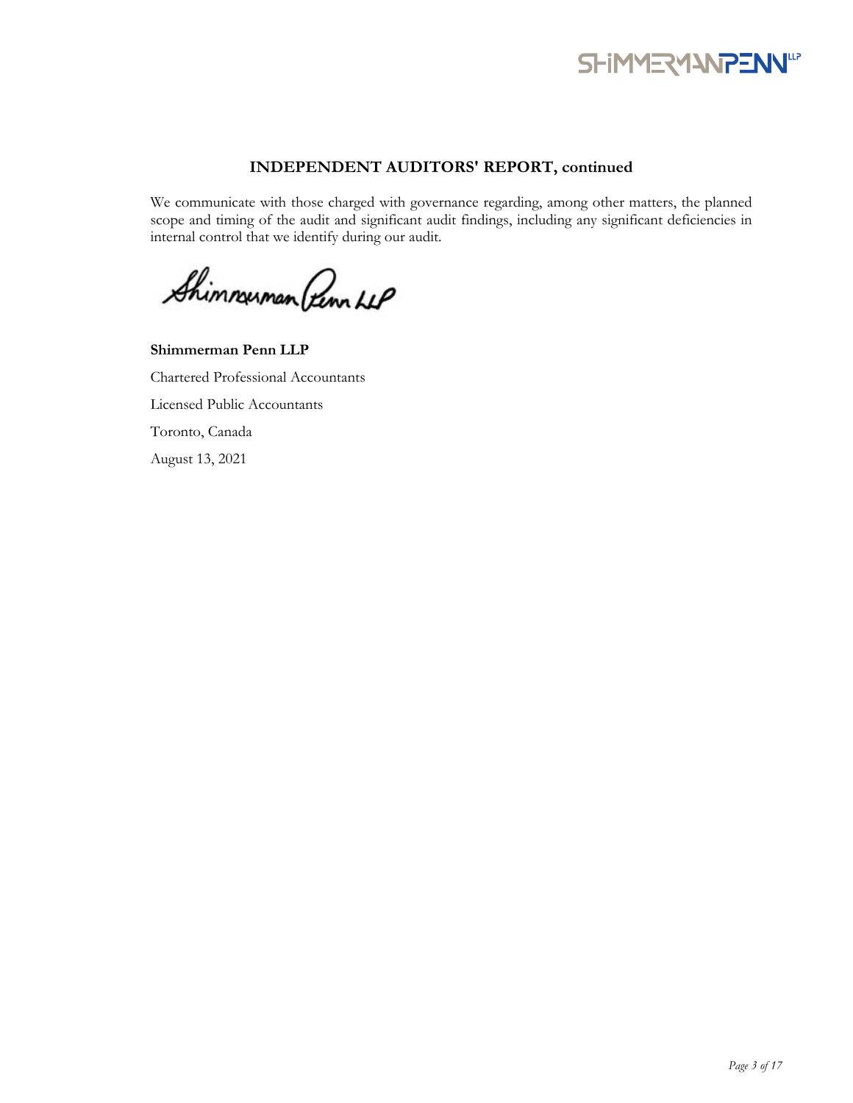

### **INDEPENDENT AUDITORS' REPORT, continued**

We communicate with those charged with governance regarding, among other matters, the planned scope and timing of the audit and significant audit findings, including any significant deficiencies in internal control that we identify during our audit.

Shimnowman Penn LLP

**Shimmerman Penn LLP**  Chartered Professional Accountants Licensed Public Accountants Toronto, Canada August 13, 2021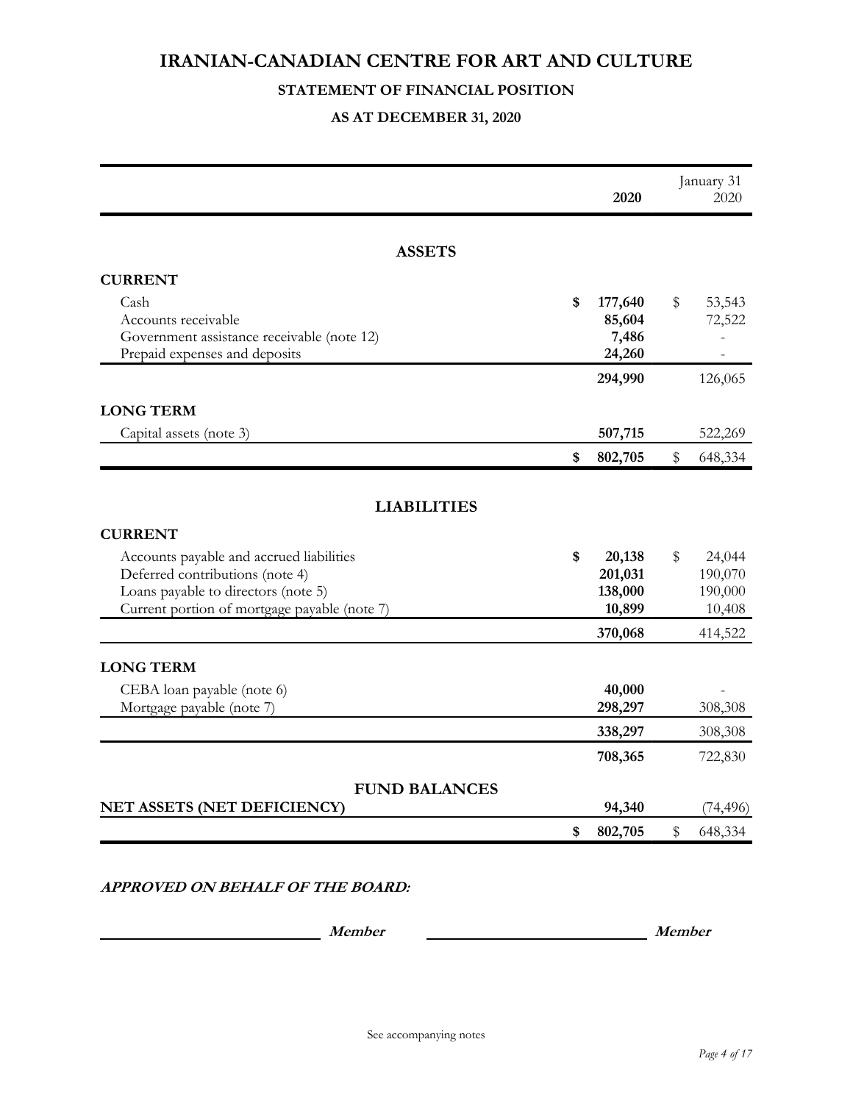### **STATEMENT OF FINANCIAL POSITION**

### **AS AT DECEMBER 31, 2020**

|                                                     | 2020          |        | January 31<br>2020 |
|-----------------------------------------------------|---------------|--------|--------------------|
| <b>ASSETS</b>                                       |               |        |                    |
| <b>CURRENT</b>                                      |               |        |                    |
| Cash                                                | \$<br>177,640 | \$     | 53,543             |
| Accounts receivable                                 | 85,604        |        | 72,522             |
| Government assistance receivable (note 12)          | 7,486         |        |                    |
| Prepaid expenses and deposits                       | 24,260        |        |                    |
|                                                     | 294,990       |        | 126,065            |
| <b>LONG TERM</b>                                    |               |        |                    |
| Capital assets (note 3)                             | 507,715       |        | 522,269            |
|                                                     | \$<br>802,705 | \$     | 648,334            |
|                                                     |               |        |                    |
| <b>LIABILITIES</b>                                  |               |        |                    |
| <b>CURRENT</b>                                      |               |        |                    |
| Accounts payable and accrued liabilities            | \$<br>20,138  | $\$\,$ | 24,044             |
| Deferred contributions (note 4)                     | 201,031       |        | 190,070            |
| Loans payable to directors (note 5)                 | 138,000       |        | 190,000            |
| Current portion of mortgage payable (note 7)        | 10,899        |        | 10,408             |
|                                                     | 370,068       |        | 414,522            |
| <b>LONG TERM</b>                                    |               |        |                    |
| CEBA loan payable (note 6)                          | 40,000        |        |                    |
| Mortgage payable (note 7)                           | 298,297       |        | 308,308            |
|                                                     | 338,297       |        | 308,308            |
|                                                     | 708,365       |        | 722,830            |
|                                                     |               |        |                    |
| <b>FUND BALANCES</b><br>NET ASSETS (NET DEFICIENCY) | 94,340        |        | (74, 496)          |
|                                                     | \$<br>802,705 | \$     | 648,334            |
|                                                     |               |        |                    |

### **APPROVED ON BEHALF OF THE BOARD:**

**Member** Member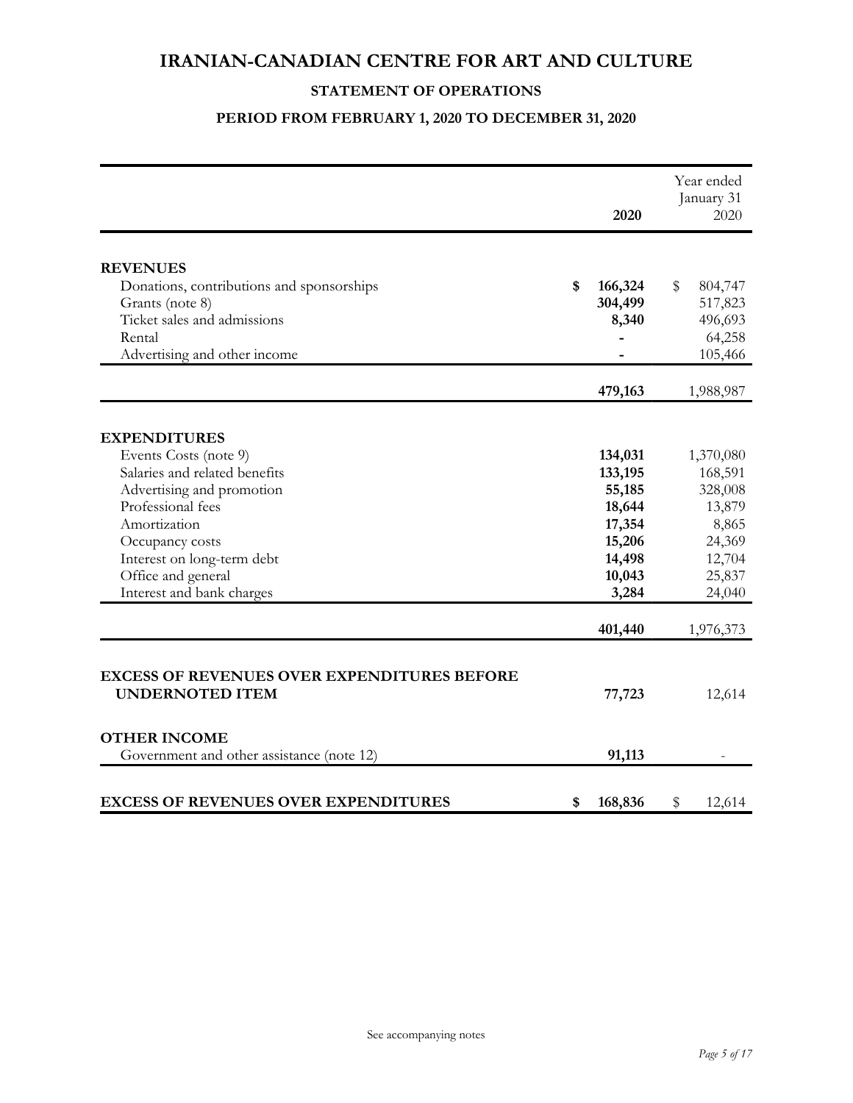### **STATEMENT OF OPERATIONS**

# **PERIOD FROM FEBRUARY 1, 2020 TO DECEMBER 31, 2020**

|                                                                              | 2020          | Year ended<br>January 31<br>2020 |
|------------------------------------------------------------------------------|---------------|----------------------------------|
|                                                                              |               |                                  |
| <b>REVENUES</b>                                                              |               |                                  |
| Donations, contributions and sponsorships                                    | \$<br>166,324 | \$<br>804,747                    |
| Grants (note 8)                                                              | 304,499       | 517,823                          |
| Ticket sales and admissions                                                  | 8,340         | 496,693                          |
| Rental                                                                       |               | 64,258                           |
| Advertising and other income                                                 |               | 105,466                          |
|                                                                              | 479,163       | 1,988,987                        |
|                                                                              |               |                                  |
| <b>EXPENDITURES</b>                                                          |               |                                  |
| Events Costs (note 9)                                                        | 134,031       | 1,370,080                        |
| Salaries and related benefits                                                | 133,195       | 168,591                          |
| Advertising and promotion                                                    | 55,185        | 328,008                          |
| Professional fees                                                            | 18,644        | 13,879                           |
| Amortization                                                                 | 17,354        | 8,865                            |
| Occupancy costs                                                              | 15,206        | 24,369                           |
| Interest on long-term debt                                                   | 14,498        | 12,704                           |
| Office and general                                                           | 10,043        | 25,837                           |
| Interest and bank charges                                                    | 3,284         | 24,040                           |
|                                                                              | 401,440       | 1,976,373                        |
|                                                                              |               |                                  |
| <b>EXCESS OF REVENUES OVER EXPENDITURES BEFORE</b><br><b>UNDERNOTED ITEM</b> | 77,723        | 12,614                           |
| <b>OTHER INCOME</b>                                                          |               |                                  |
| Government and other assistance (note 12)                                    | 91,113        |                                  |
| <b>EXCESS OF REVENUES OVER EXPENDITURES</b>                                  | \$<br>168,836 | \$<br>12,614                     |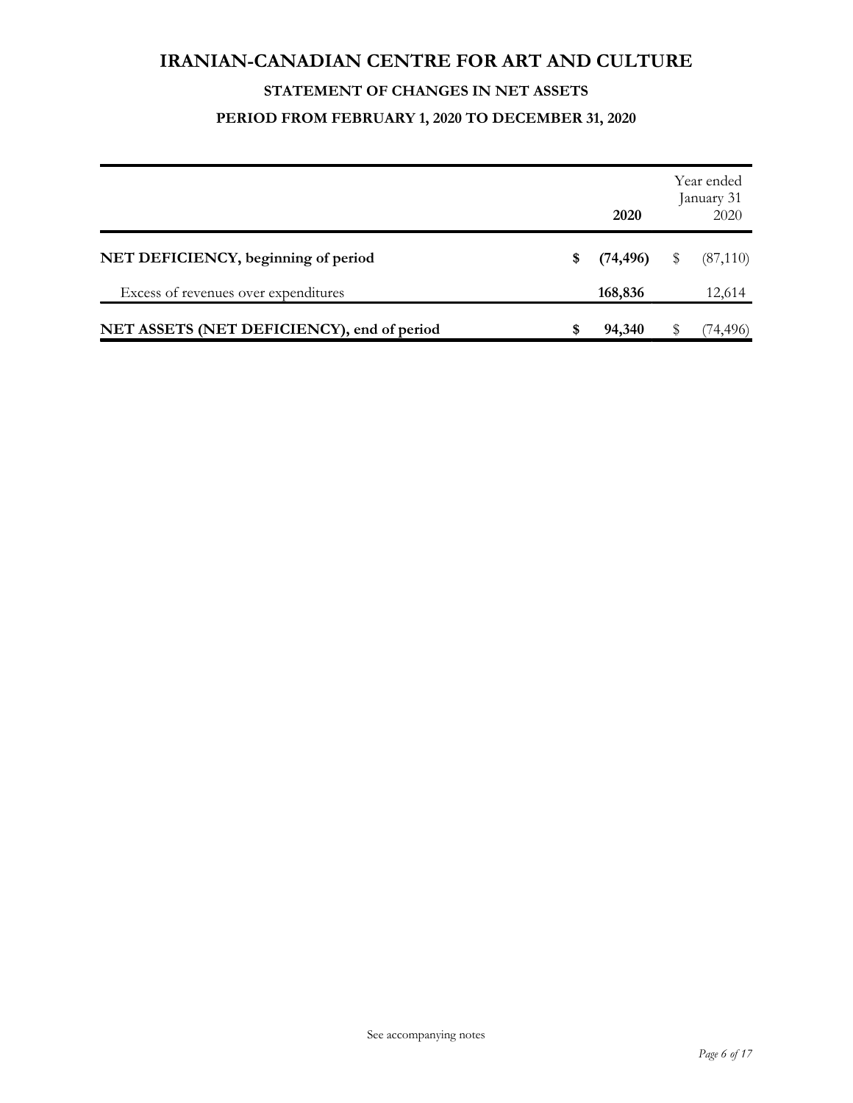# **STATEMENT OF CHANGES IN NET ASSETS**

# **PERIOD FROM FEBRUARY 1, 2020 TO DECEMBER 31, 2020**

|                                            | 2020            |              | Year ended<br>January 31<br>2020 |
|--------------------------------------------|-----------------|--------------|----------------------------------|
| NET DEFICIENCY, beginning of period        | \$<br>(74, 496) | $\mathbb{S}$ | (87,110)                         |
| Excess of revenues over expenditures       | 168,836         |              | 12,614                           |
| NET ASSETS (NET DEFICIENCY), end of period | \$<br>94,340    |              | (74, 496)                        |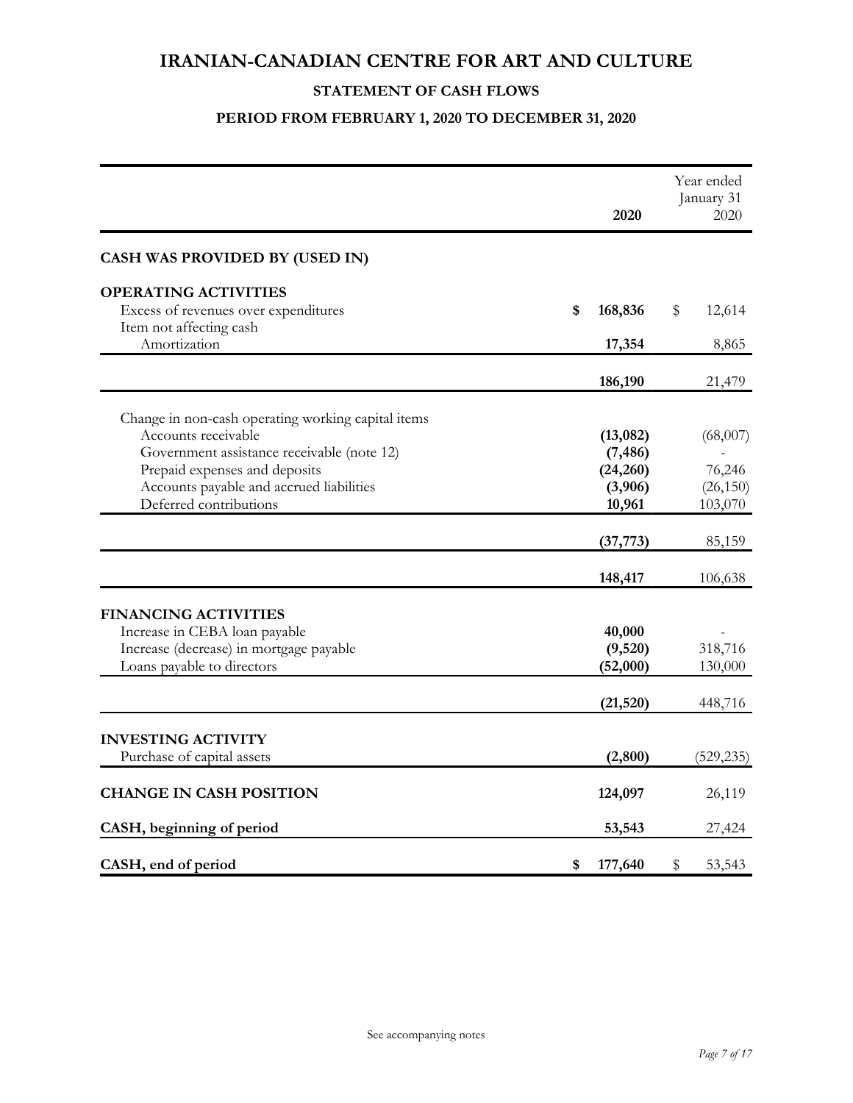### **STATEMENT OF CASH FLOWS**

# **PERIOD FROM FEBRUARY 1, 2020 TO DECEMBER 31, 2020**

|                                                    | 2020          | Year ended<br>January 31 | 2020       |
|----------------------------------------------------|---------------|--------------------------|------------|
| CASH WAS PROVIDED BY (USED IN)                     |               |                          |            |
| <b>OPERATING ACTIVITIES</b>                        |               |                          |            |
| Excess of revenues over expenditures               | \$<br>168,836 | \$                       | 12,614     |
| Item not affecting cash<br>Amortization            | 17,354        |                          | 8,865      |
|                                                    | 186,190       |                          | 21,479     |
| Change in non-cash operating working capital items |               |                          |            |
| Accounts receivable                                | (13,082)      |                          | (68,007)   |
| Government assistance receivable (note 12)         | (7, 486)      |                          |            |
| Prepaid expenses and deposits                      | (24,260)      |                          | 76,246     |
| Accounts payable and accrued liabilities           | (3,906)       |                          | (26, 150)  |
| Deferred contributions                             | 10,961        |                          | 103,070    |
|                                                    | (37, 773)     |                          | 85,159     |
|                                                    | 148,417       |                          | 106,638    |
| <b>FINANCING ACTIVITIES</b>                        |               |                          |            |
| Increase in CEBA loan payable                      | 40,000        |                          |            |
| Increase (decrease) in mortgage payable            | (9,520)       |                          | 318,716    |
| Loans payable to directors                         | (52,000)      |                          | 130,000    |
|                                                    | (21, 520)     |                          | 448,716    |
|                                                    |               |                          |            |
| <b>INVESTING ACTIVITY</b>                          |               |                          |            |
| Purchase of capital assets                         | (2,800)       |                          | (529, 235) |
| <b>CHANGE IN CASH POSITION</b>                     | 124,097       |                          | 26,119     |
| CASH, beginning of period                          | 53,543        |                          | 27,424     |
| CASH, end of period                                | \$<br>177,640 | \$                       | 53,543     |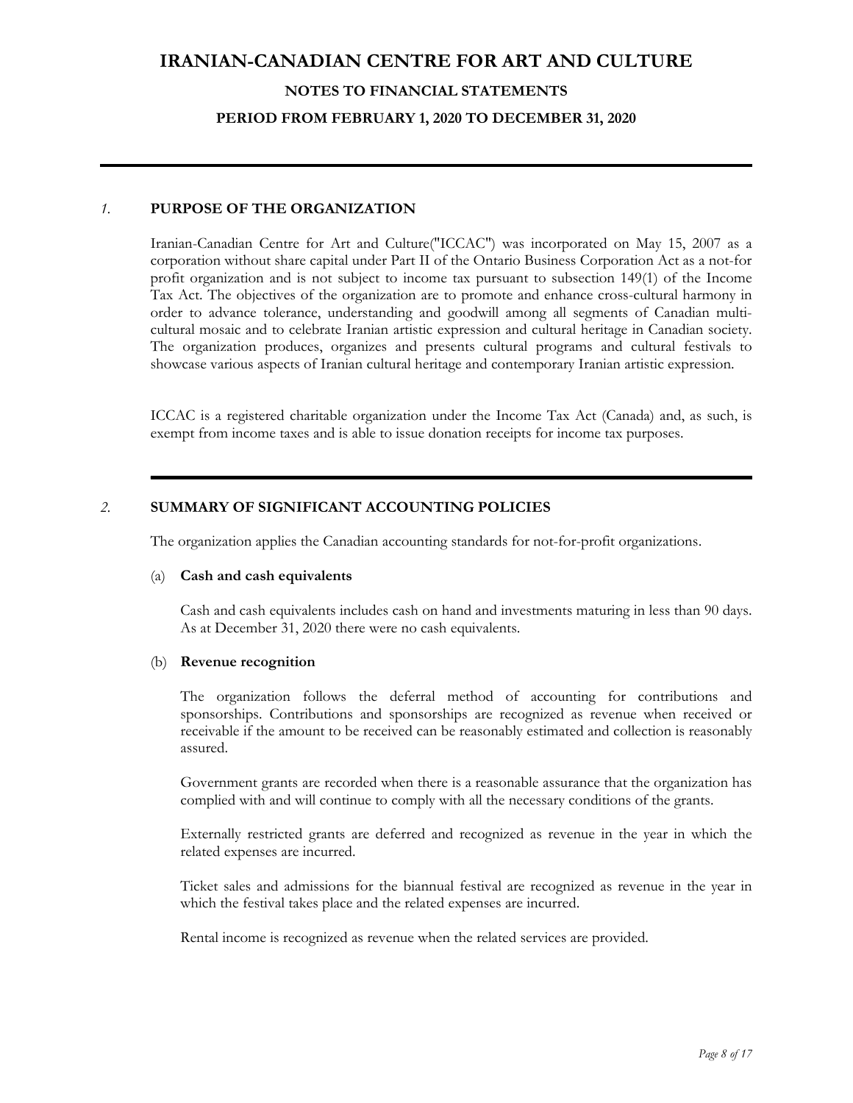#### **NOTES TO FINANCIAL STATEMENTS**

**PERIOD FROM FEBRUARY 1, 2020 TO DECEMBER 31, 2020**

#### *1.* **PURPOSE OF THE ORGANIZATION**

Iranian-Canadian Centre for Art and Culture("ICCAC") was incorporated on May 15, 2007 as a corporation without share capital under Part II of the Ontario Business Corporation Act as a not-for profit organization and is not subject to income tax pursuant to subsection 149(1) of the Income Tax Act. The objectives of the organization are to promote and enhance cross-cultural harmony in order to advance tolerance, understanding and goodwill among all segments of Canadian multicultural mosaic and to celebrate Iranian artistic expression and cultural heritage in Canadian society. The organization produces, organizes and presents cultural programs and cultural festivals to showcase various aspects of Iranian cultural heritage and contemporary Iranian artistic expression.

ICCAC is a registered charitable organization under the Income Tax Act (Canada) and, as such, is exempt from income taxes and is able to issue donation receipts for income tax purposes.

### *2.* **SUMMARY OF SIGNIFICANT ACCOUNTING POLICIES**

The organization applies the Canadian accounting standards for not-for-profit organizations.

#### (a) **Cash and cash equivalents**

Cash and cash equivalents includes cash on hand and investments maturing in less than 90 days. As at December 31, 2020 there were no cash equivalents.

#### (b) **Revenue recognition**

The organization follows the deferral method of accounting for contributions and sponsorships. Contributions and sponsorships are recognized as revenue when received or receivable if the amount to be received can be reasonably estimated and collection is reasonably assured.

Government grants are recorded when there is a reasonable assurance that the organization has complied with and will continue to comply with all the necessary conditions of the grants.

Externally restricted grants are deferred and recognized as revenue in the year in which the related expenses are incurred.

Ticket sales and admissions for the biannual festival are recognized as revenue in the year in which the festival takes place and the related expenses are incurred.

Rental income is recognized as revenue when the related services are provided.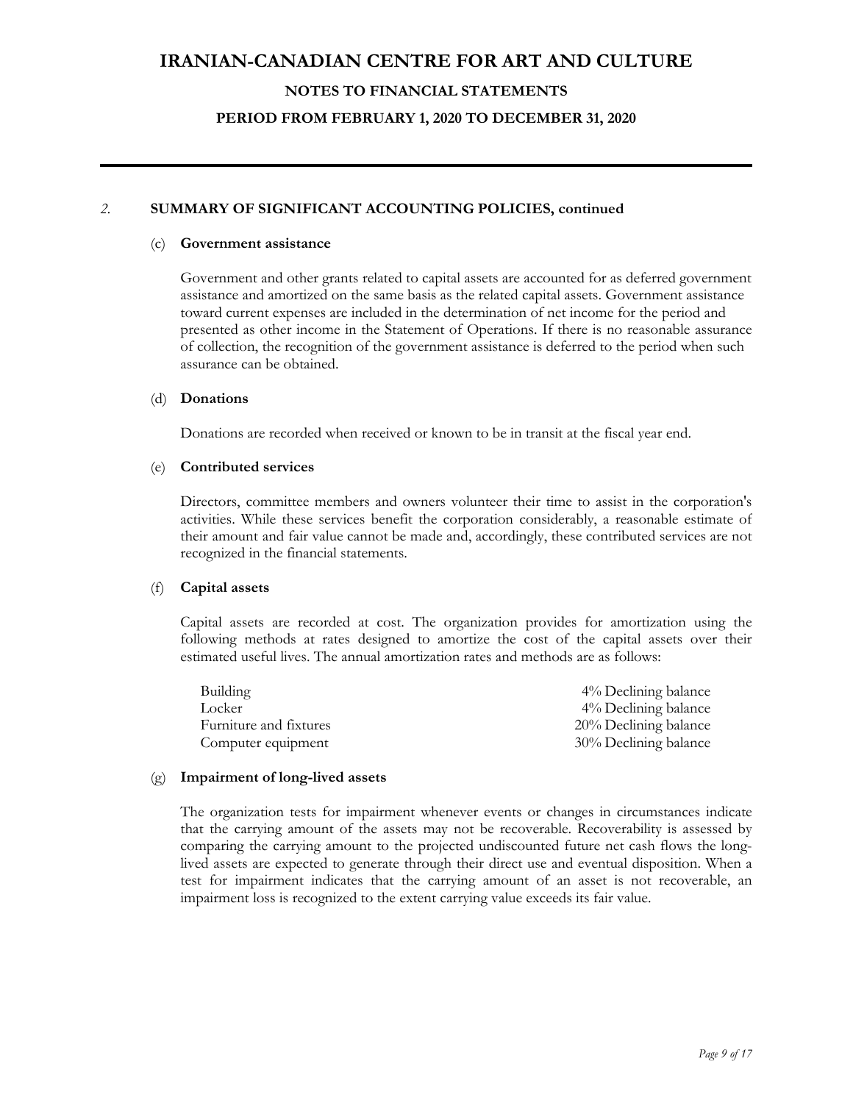#### **NOTES TO FINANCIAL STATEMENTS**

**PERIOD FROM FEBRUARY 1, 2020 TO DECEMBER 31, 2020**

#### *2.* **SUMMARY OF SIGNIFICANT ACCOUNTING POLICIES, continued**

#### (c) **Government assistance**

Government and other grants related to capital assets are accounted for as deferred government assistance and amortized on the same basis as the related capital assets. Government assistance toward current expenses are included in the determination of net income for the period and presented as other income in the Statement of Operations. If there is no reasonable assurance of collection, the recognition of the government assistance is deferred to the period when such assurance can be obtained.

#### (d) **Donations**

Donations are recorded when received or known to be in transit at the fiscal year end.

#### (e) **Contributed services**

Directors, committee members and owners volunteer their time to assist in the corporation's activities. While these services benefit the corporation considerably, a reasonable estimate of their amount and fair value cannot be made and, accordingly, these contributed services are not recognized in the financial statements.

#### (f) **Capital assets**

Capital assets are recorded at cost. The organization provides for amortization using the following methods at rates designed to amortize the cost of the capital assets over their estimated useful lives. The annual amortization rates and methods are as follows:

| Building               | 4% Declining balance  |
|------------------------|-----------------------|
| Locker                 | 4% Declining balance  |
| Furniture and fixtures | 20% Declining balance |
| Computer equipment     | 30% Declining balance |

#### (g) **Impairment of long-lived assets**

The organization tests for impairment whenever events or changes in circumstances indicate that the carrying amount of the assets may not be recoverable. Recoverability is assessed by comparing the carrying amount to the projected undiscounted future net cash flows the longlived assets are expected to generate through their direct use and eventual disposition. When a test for impairment indicates that the carrying amount of an asset is not recoverable, an impairment loss is recognized to the extent carrying value exceeds its fair value.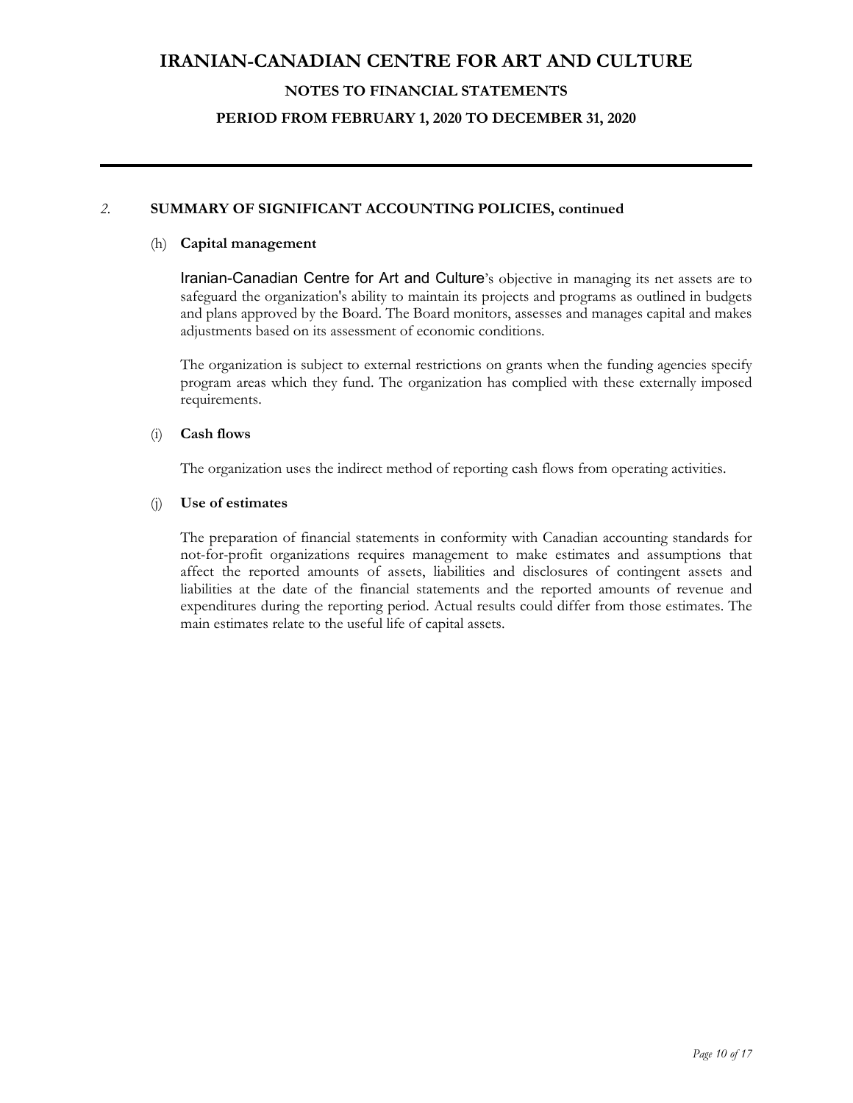#### **NOTES TO FINANCIAL STATEMENTS**

**PERIOD FROM FEBRUARY 1, 2020 TO DECEMBER 31, 2020**

#### *2.* **SUMMARY OF SIGNIFICANT ACCOUNTING POLICIES, continued**

#### (h) **Capital management**

Iranian-Canadian Centre for Art and Culture's objective in managing its net assets are to safeguard the organization's ability to maintain its projects and programs as outlined in budgets and plans approved by the Board. The Board monitors, assesses and manages capital and makes adjustments based on its assessment of economic conditions.

The organization is subject to external restrictions on grants when the funding agencies specify program areas which they fund. The organization has complied with these externally imposed requirements.

#### (i) **Cash flows**

The organization uses the indirect method of reporting cash flows from operating activities.

#### (j) **Use of estimates**

The preparation of financial statements in conformity with Canadian accounting standards for not-for-profit organizations requires management to make estimates and assumptions that affect the reported amounts of assets, liabilities and disclosures of contingent assets and liabilities at the date of the financial statements and the reported amounts of revenue and expenditures during the reporting period. Actual results could differ from those estimates. The main estimates relate to the useful life of capital assets.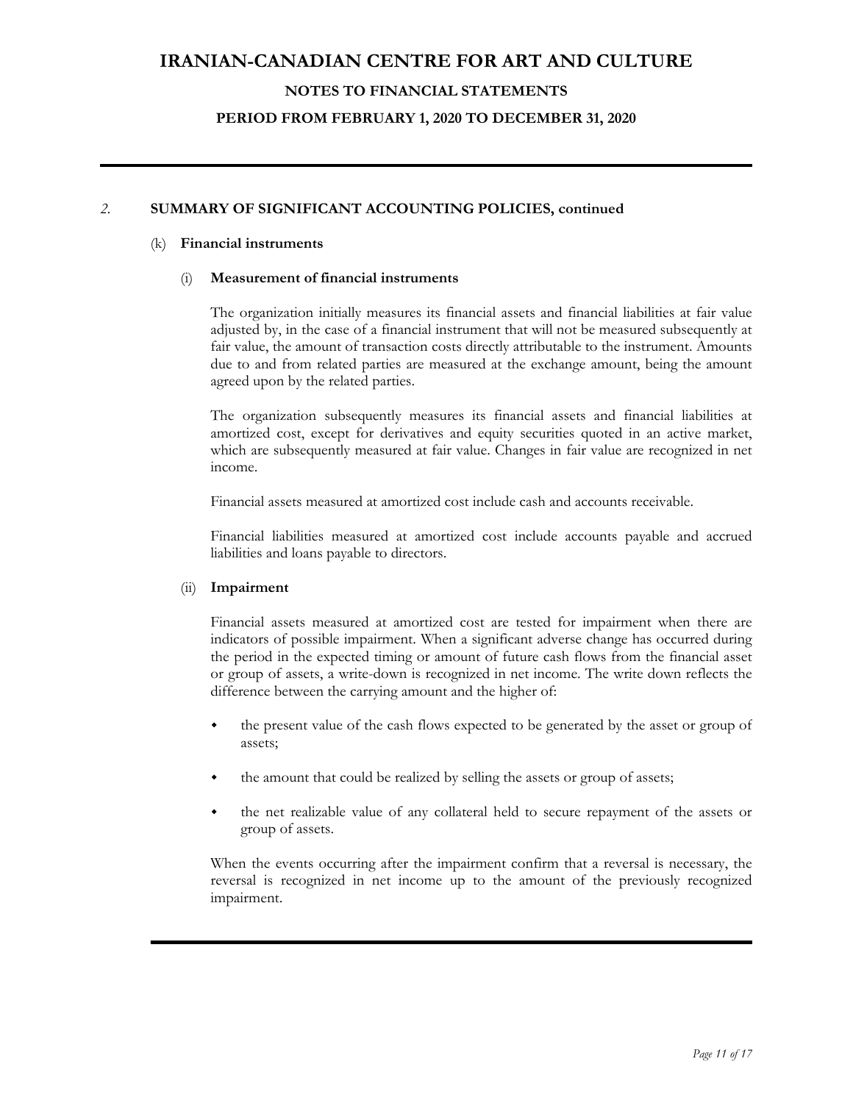#### **NOTES TO FINANCIAL STATEMENTS**

**PERIOD FROM FEBRUARY 1, 2020 TO DECEMBER 31, 2020**

#### *2.* **SUMMARY OF SIGNIFICANT ACCOUNTING POLICIES, continued**

#### (k) **Financial instruments**

#### (i) **Measurement of financial instruments**

The organization initially measures its financial assets and financial liabilities at fair value adjusted by, in the case of a financial instrument that will not be measured subsequently at fair value, the amount of transaction costs directly attributable to the instrument. Amounts due to and from related parties are measured at the exchange amount, being the amount agreed upon by the related parties.

The organization subsequently measures its financial assets and financial liabilities at amortized cost, except for derivatives and equity securities quoted in an active market, which are subsequently measured at fair value. Changes in fair value are recognized in net income.

Financial assets measured at amortized cost include cash and accounts receivable.

Financial liabilities measured at amortized cost include accounts payable and accrued liabilities and loans payable to directors.

#### (ii) **Impairment**

Financial assets measured at amortized cost are tested for impairment when there are indicators of possible impairment. When a significant adverse change has occurred during the period in the expected timing or amount of future cash flows from the financial asset or group of assets, a write-down is recognized in net income. The write down reflects the difference between the carrying amount and the higher of:

- the present value of the cash flows expected to be generated by the asset or group of assets;
- the amount that could be realized by selling the assets or group of assets;
- the net realizable value of any collateral held to secure repayment of the assets or group of assets.

When the events occurring after the impairment confirm that a reversal is necessary, the reversal is recognized in net income up to the amount of the previously recognized impairment.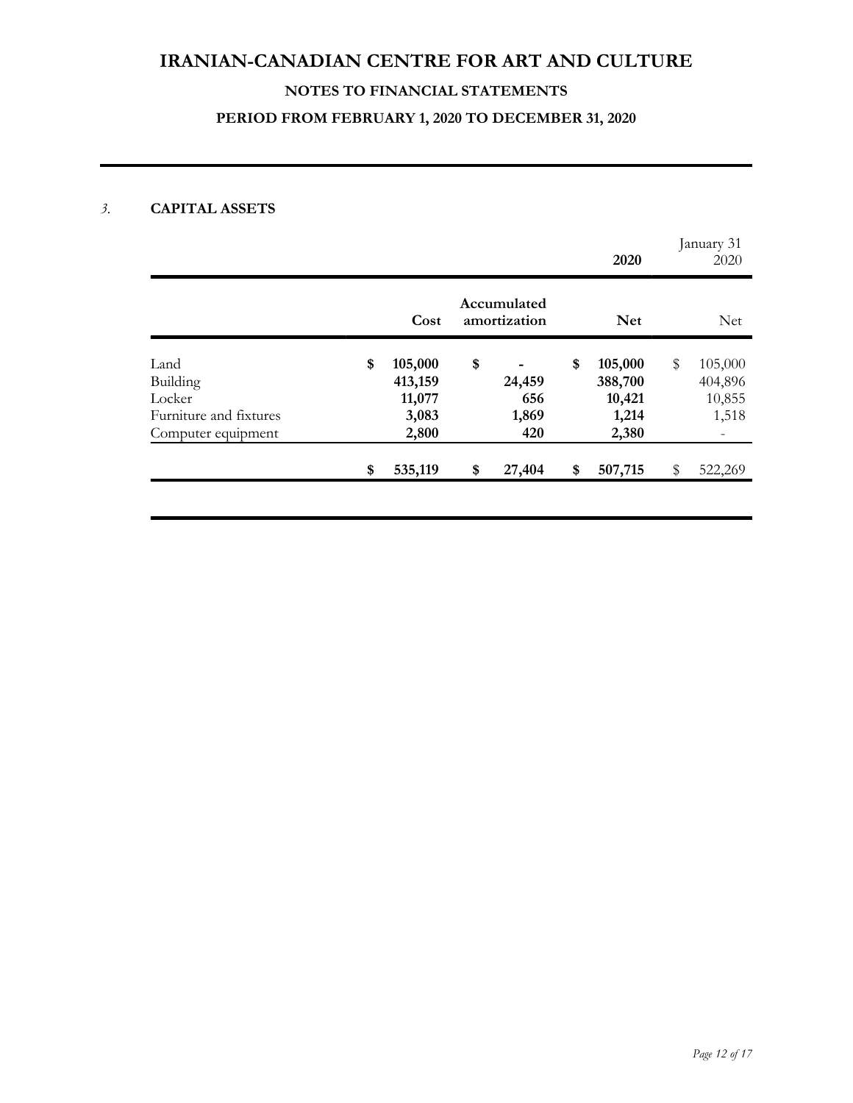# **NOTES TO FINANCIAL STATEMENTS**

**PERIOD FROM FEBRUARY 1, 2020 TO DECEMBER 31, 2020**

# *3.* **CAPITAL ASSETS**

|                        |               |                             | 2020          | January 31<br>2020 |
|------------------------|---------------|-----------------------------|---------------|--------------------|
|                        | Cost          | Accumulated<br>amortization | <b>Net</b>    | <b>Net</b>         |
| Land                   | \$<br>105,000 | \$                          | \$<br>105,000 | \$<br>105,000      |
| Building               | 413,159       | 24,459                      | 388,700       | 404,896            |
| Locker                 | 11,077        | 656                         | 10,421        | 10,855             |
| Furniture and fixtures | 3,083         | 1,869                       | 1,214         | 1,518              |
| Computer equipment     | 2,800         | 420                         | 2,380         |                    |
|                        | \$<br>535,119 | \$<br>27,404                | \$<br>507,715 | \$<br>522,269      |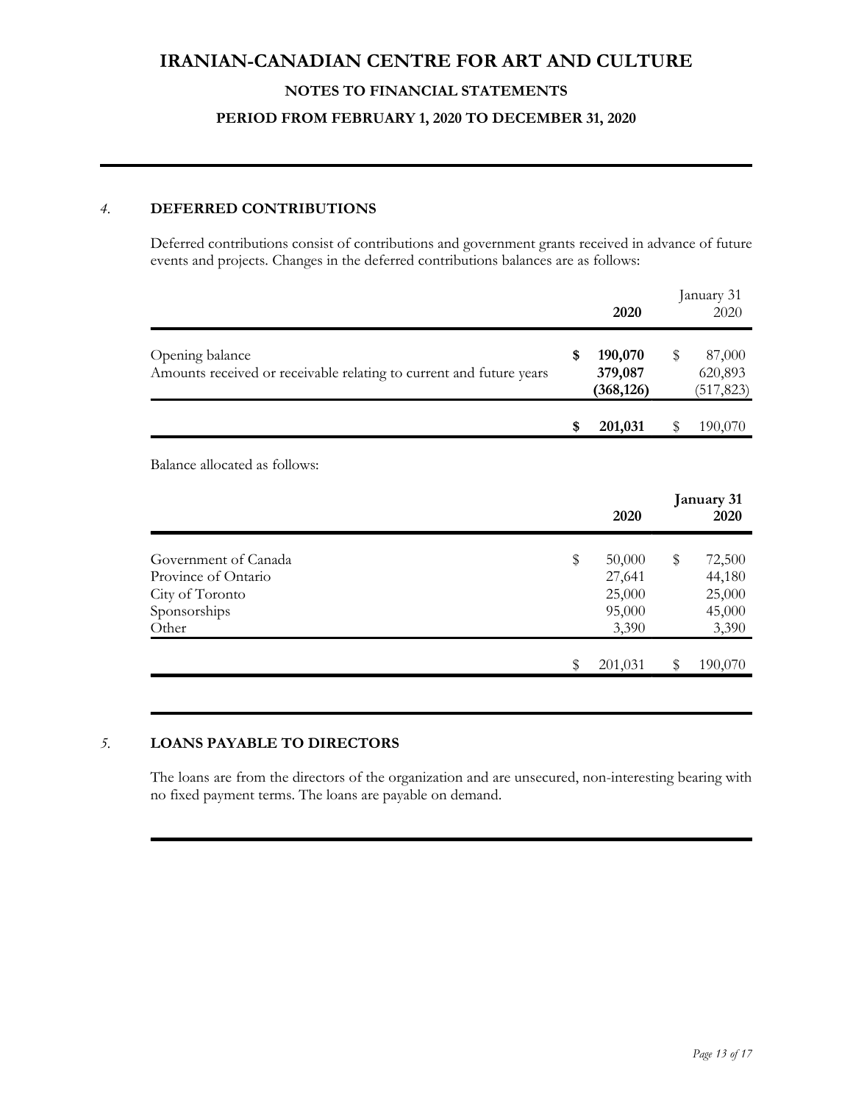# **IRANIAN-CANADIAN CENTRE FOR ART AND CULTURE NOTES TO FINANCIAL STATEMENTS**

**PERIOD FROM FEBRUARY 1, 2020 TO DECEMBER 31, 2020**

# *4.* **DEFERRED CONTRIBUTIONS**

Deferred contributions consist of contributions and government grants received in advance of future events and projects. Changes in the deferred contributions balances are as follows:

|                                                                                         | 2020                                                | January 31<br>2020                                  |
|-----------------------------------------------------------------------------------------|-----------------------------------------------------|-----------------------------------------------------|
| Opening balance<br>Amounts received or receivable relating to current and future years  | \$<br>190,070<br>379,087<br>(368, 126)              | \$<br>87,000<br>620,893<br>(517, 823)               |
|                                                                                         | \$<br>201,031                                       | \$<br>190,070                                       |
| Balance allocated as follows:                                                           |                                                     |                                                     |
|                                                                                         | 2020                                                | January 31<br>2020                                  |
| Government of Canada<br>Province of Ontario<br>City of Toronto<br>Sponsorships<br>Other | \$<br>50,000<br>27,641<br>25,000<br>95,000<br>3,390 | \$<br>72,500<br>44,180<br>25,000<br>45,000<br>3,390 |
|                                                                                         | \$<br>201,031                                       | \$<br>190,070                                       |

### *5.* **LOANS PAYABLE TO DIRECTORS**

The loans are from the directors of the organization and are unsecured, non-interesting bearing with no fixed payment terms. The loans are payable on demand.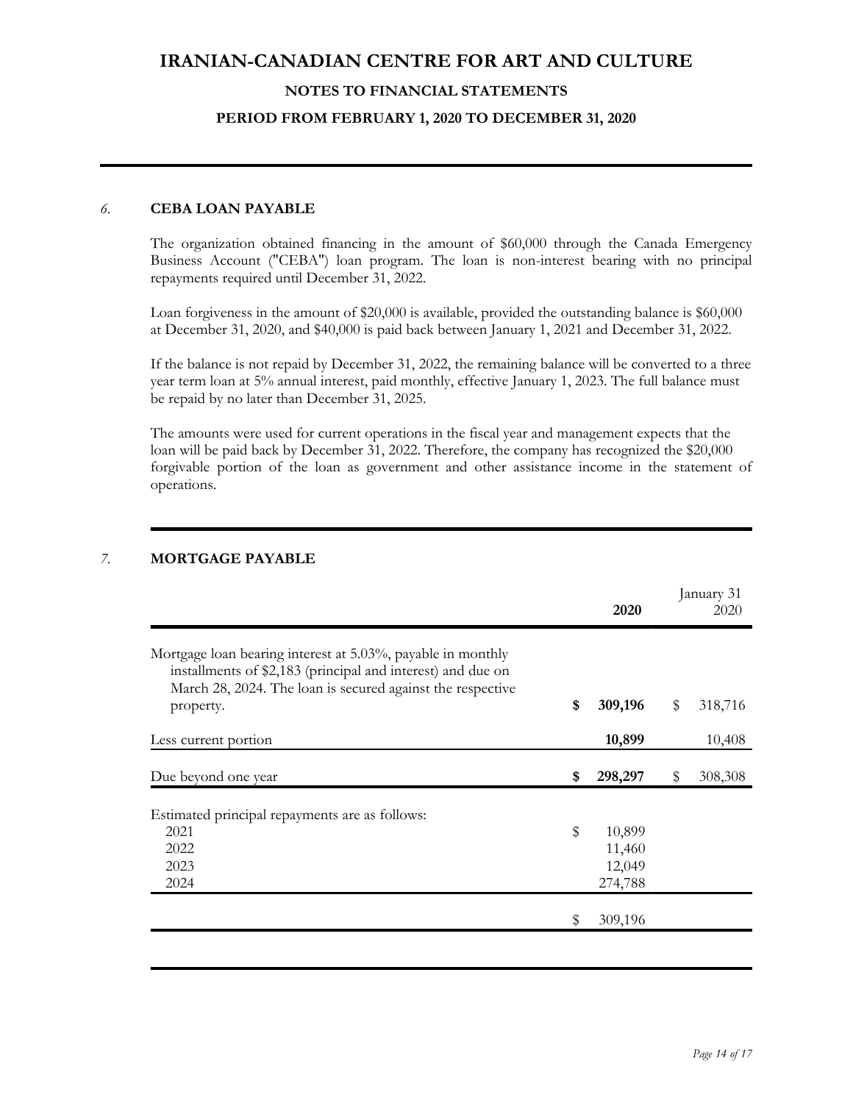#### **NOTES TO FINANCIAL STATEMENTS**

**PERIOD FROM FEBRUARY 1, 2020 TO DECEMBER 31, 2020**

#### *6.* **CEBA LOAN PAYABLE**

The organization obtained financing in the amount of \$60,000 through the Canada Emergency Business Account ("CEBA") loan program. The loan is non-interest bearing with no principal repayments required until December 31, 2022.

Loan forgiveness in the amount of \$20,000 is available, provided the outstanding balance is \$60,000 at December 31, 2020, and \$40,000 is paid back between January 1, 2021 and December 31, 2022.

If the balance is not repaid by December 31, 2022, the remaining balance will be converted to a three year term loan at 5% annual interest, paid monthly, effective January 1, 2023. The full balance must be repaid by no later than December 31, 2025.

The amounts were used for current operations in the fiscal year and management expects that the loan will be paid back by December 31, 2022. Therefore, the company has recognized the \$20,000 forgivable portion of the loan as government and other assistance income in the statement of operations.

### *7.* **MORTGAGE PAYABLE**

|                                                                                                                                                                                                       |    | 2020                                  |    | January 31<br>2020 |
|-------------------------------------------------------------------------------------------------------------------------------------------------------------------------------------------------------|----|---------------------------------------|----|--------------------|
| Mortgage loan bearing interest at 5.03%, payable in monthly<br>installments of \$2,183 (principal and interest) and due on<br>March 28, 2024. The loan is secured against the respective<br>property. | \$ | 309,196                               | \$ | 318,716            |
| Less current portion                                                                                                                                                                                  |    | 10,899                                |    | 10,408             |
| Due beyond one year                                                                                                                                                                                   | \$ | 298,297                               | S  | 308,308            |
| Estimated principal repayments are as follows:<br>2021<br>2022<br>2023<br>2024                                                                                                                        | \$ | 10,899<br>11,460<br>12,049<br>274,788 |    |                    |
|                                                                                                                                                                                                       | S  | 309,196                               |    |                    |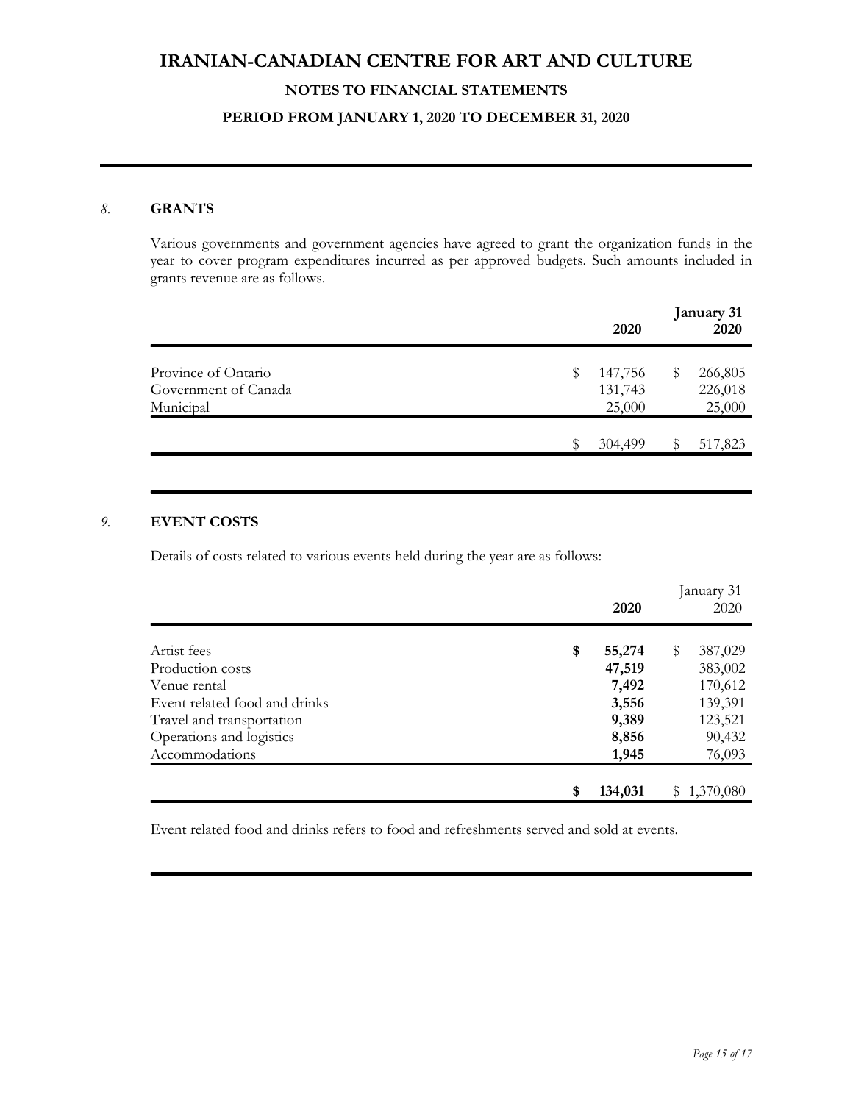#### **NOTES TO FINANCIAL STATEMENTS**

#### **PERIOD FROM JANUARY 1, 2020 TO DECEMBER 31, 2020**

#### *8.* **GRANTS**

Various governments and government agencies have agreed to grant the organization funds in the year to cover program expenditures incurred as per approved budgets. Such amounts included in grants revenue are as follows.

|                                                          |   | 2020                         |   | January 31<br>2020           |
|----------------------------------------------------------|---|------------------------------|---|------------------------------|
| Province of Ontario<br>Government of Canada<br>Municipal | S | 147,756<br>131,743<br>25,000 | Y | 266,805<br>226,018<br>25,000 |
|                                                          | S | 304,499                      |   | 517,823                      |

### *9.* **EVENT COSTS**

Details of costs related to various events held during the year are as follows:

|                               | 2020          |   | January 31<br>2020 |
|-------------------------------|---------------|---|--------------------|
| Artist fees                   | \$<br>55,274  | S | 387,029            |
| Production costs              | 47,519        |   | 383,002            |
| Venue rental                  | 7,492         |   | 170,612            |
| Event related food and drinks | 3,556         |   | 139,391            |
| Travel and transportation     | 9,389         |   | 123,521            |
| Operations and logistics      | 8,856         |   | 90,432             |
| Accommodations                | 1,945         |   | 76,093             |
|                               | \$<br>134,031 |   | \$1,370,080        |

Event related food and drinks refers to food and refreshments served and sold at events.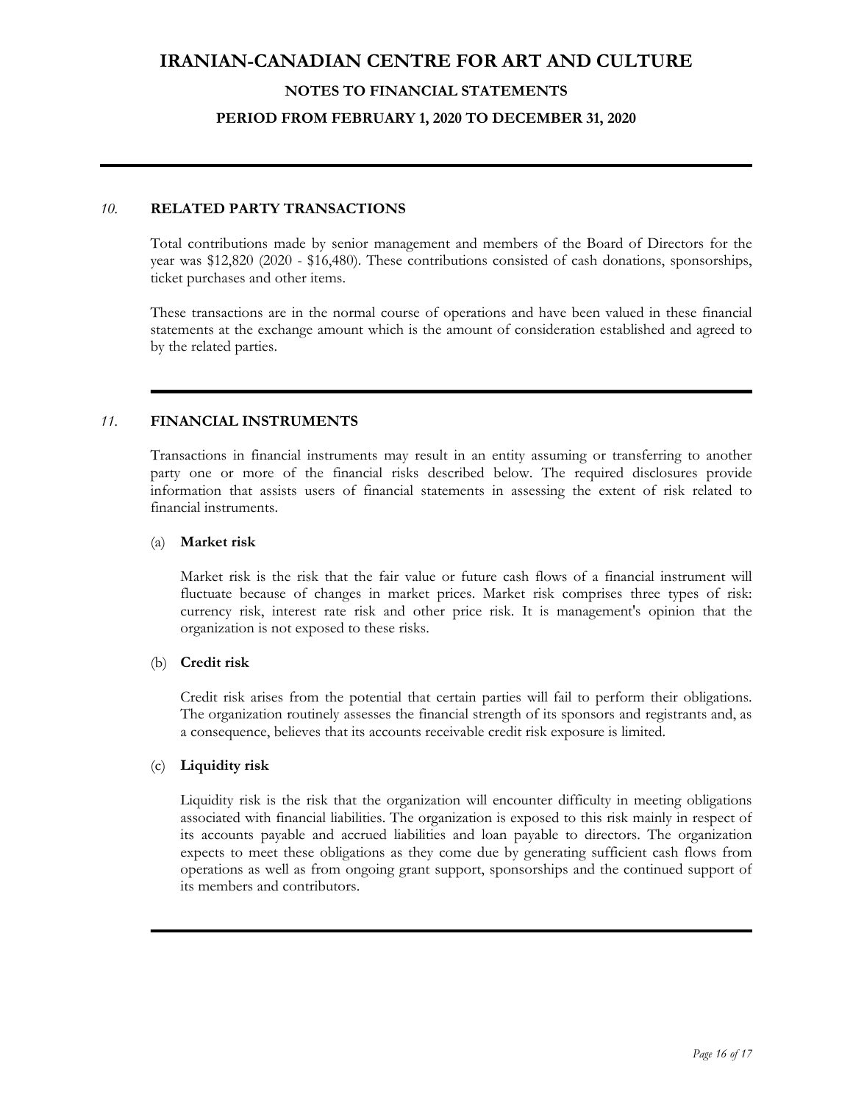#### **NOTES TO FINANCIAL STATEMENTS**

#### **PERIOD FROM FEBRUARY 1, 2020 TO DECEMBER 31, 2020**

#### *10.* **RELATED PARTY TRANSACTIONS**

Total contributions made by senior management and members of the Board of Directors for the year was \$12,820 (2020 - \$16,480). These contributions consisted of cash donations, sponsorships, ticket purchases and other items.

These transactions are in the normal course of operations and have been valued in these financial statements at the exchange amount which is the amount of consideration established and agreed to by the related parties.

#### *11.* **FINANCIAL INSTRUMENTS**

Transactions in financial instruments may result in an entity assuming or transferring to another party one or more of the financial risks described below. The required disclosures provide information that assists users of financial statements in assessing the extent of risk related to financial instruments.

#### (a) **Market risk**

Market risk is the risk that the fair value or future cash flows of a financial instrument will fluctuate because of changes in market prices. Market risk comprises three types of risk: currency risk, interest rate risk and other price risk. It is management's opinion that the organization is not exposed to these risks.

#### (b) **Credit risk**

Credit risk arises from the potential that certain parties will fail to perform their obligations. The organization routinely assesses the financial strength of its sponsors and registrants and, as a consequence, believes that its accounts receivable credit risk exposure is limited.

#### (c) **Liquidity risk**

Liquidity risk is the risk that the organization will encounter difficulty in meeting obligations associated with financial liabilities. The organization is exposed to this risk mainly in respect of its accounts payable and accrued liabilities and loan payable to directors. The organization expects to meet these obligations as they come due by generating sufficient cash flows from operations as well as from ongoing grant support, sponsorships and the continued support of its members and contributors.